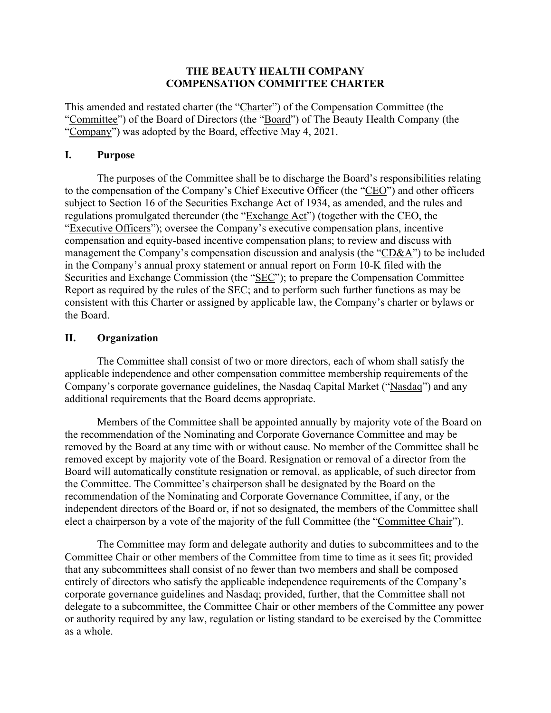## **THE BEAUTY HEALTH COMPANY COMPENSATION COMMITTEE CHARTER**

This amended and restated charter (the "Charter") of the Compensation Committee (the "Committee") of the Board of Directors (the "Board") of The Beauty Health Company (the "Company") was adopted by the Board, effective May 4, 2021.

## **I. Purpose**

The purposes of the Committee shall be to discharge the Board's responsibilities relating to the compensation of the Company's Chief Executive Officer (the "CEO") and other officers subject to Section 16 of the Securities Exchange Act of 1934, as amended, and the rules and regulations promulgated thereunder (the "Exchange Act") (together with the CEO, the "Executive Officers"); oversee the Company's executive compensation plans, incentive compensation and equity-based incentive compensation plans; to review and discuss with management the Company's compensation discussion and analysis (the "CD&A") to be included in the Company's annual proxy statement or annual report on Form 10-K filed with the Securities and Exchange Commission (the "SEC"); to prepare the Compensation Committee Report as required by the rules of the SEC; and to perform such further functions as may be consistent with this Charter or assigned by applicable law, the Company's charter or bylaws or the Board.

# **II. Organization**

The Committee shall consist of two or more directors, each of whom shall satisfy the applicable independence and other compensation committee membership requirements of the Company's corporate governance guidelines, the Nasdaq Capital Market ("Nasdaq") and any additional requirements that the Board deems appropriate.

Members of the Committee shall be appointed annually by majority vote of the Board on the recommendation of the Nominating and Corporate Governance Committee and may be removed by the Board at any time with or without cause. No member of the Committee shall be removed except by majority vote of the Board. Resignation or removal of a director from the Board will automatically constitute resignation or removal, as applicable, of such director from the Committee. The Committee's chairperson shall be designated by the Board on the recommendation of the Nominating and Corporate Governance Committee, if any, or the independent directors of the Board or, if not so designated, the members of the Committee shall elect a chairperson by a vote of the majority of the full Committee (the "Committee Chair").

The Committee may form and delegate authority and duties to subcommittees and to the Committee Chair or other members of the Committee from time to time as it sees fit; provided that any subcommittees shall consist of no fewer than two members and shall be composed entirely of directors who satisfy the applicable independence requirements of the Company's corporate governance guidelines and Nasdaq; provided, further, that the Committee shall not delegate to a subcommittee, the Committee Chair or other members of the Committee any power or authority required by any law, regulation or listing standard to be exercised by the Committee as a whole.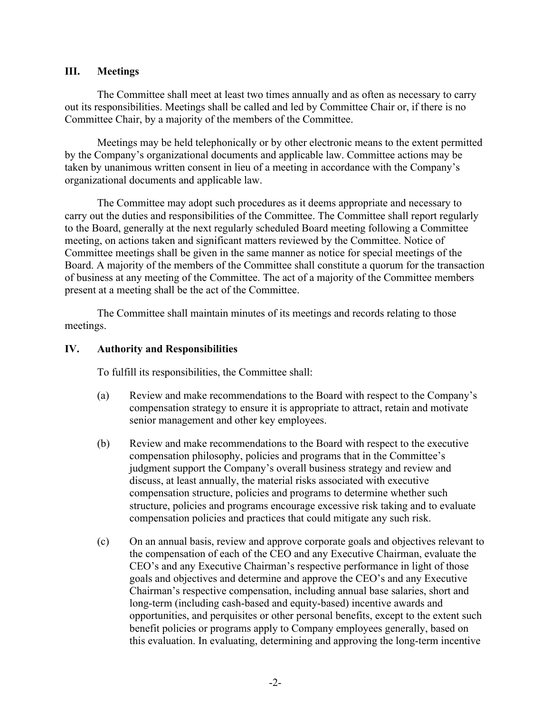## **III. Meetings**

The Committee shall meet at least two times annually and as often as necessary to carry out its responsibilities. Meetings shall be called and led by Committee Chair or, if there is no Committee Chair, by a majority of the members of the Committee.

Meetings may be held telephonically or by other electronic means to the extent permitted by the Company's organizational documents and applicable law. Committee actions may be taken by unanimous written consent in lieu of a meeting in accordance with the Company's organizational documents and applicable law.

The Committee may adopt such procedures as it deems appropriate and necessary to carry out the duties and responsibilities of the Committee. The Committee shall report regularly to the Board, generally at the next regularly scheduled Board meeting following a Committee meeting, on actions taken and significant matters reviewed by the Committee. Notice of Committee meetings shall be given in the same manner as notice for special meetings of the Board. A majority of the members of the Committee shall constitute a quorum for the transaction of business at any meeting of the Committee. The act of a majority of the Committee members present at a meeting shall be the act of the Committee.

The Committee shall maintain minutes of its meetings and records relating to those meetings.

### **IV. Authority and Responsibilities**

To fulfill its responsibilities, the Committee shall:

- (a) Review and make recommendations to the Board with respect to the Company's compensation strategy to ensure it is appropriate to attract, retain and motivate senior management and other key employees.
- (b) Review and make recommendations to the Board with respect to the executive compensation philosophy, policies and programs that in the Committee's judgment support the Company's overall business strategy and review and discuss, at least annually, the material risks associated with executive compensation structure, policies and programs to determine whether such structure, policies and programs encourage excessive risk taking and to evaluate compensation policies and practices that could mitigate any such risk.
- (c) On an annual basis, review and approve corporate goals and objectives relevant to the compensation of each of the CEO and any Executive Chairman, evaluate the CEO's and any Executive Chairman's respective performance in light of those goals and objectives and determine and approve the CEO's and any Executive Chairman's respective compensation, including annual base salaries, short and long-term (including cash-based and equity-based) incentive awards and opportunities, and perquisites or other personal benefits, except to the extent such benefit policies or programs apply to Company employees generally, based on this evaluation. In evaluating, determining and approving the long-term incentive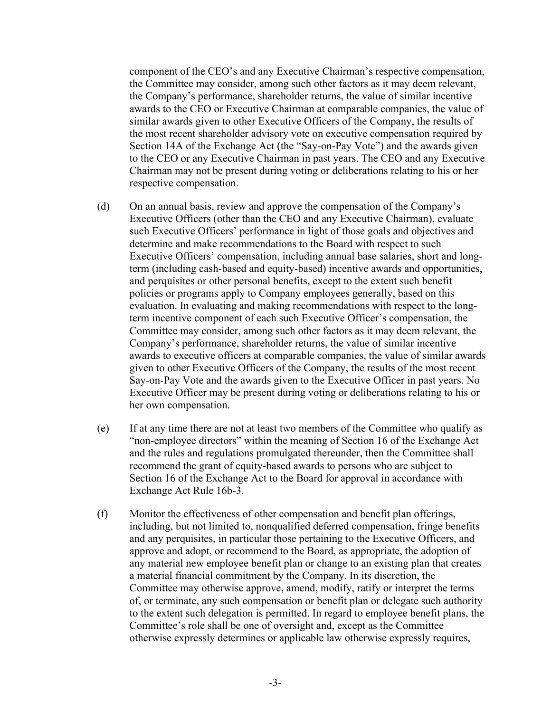component of the CEO's and any Executive Chairman's respective compensation, the Committee may consider, among such other factors as it may deem relevant, the Company's performance, shareholder returns, the value of similar incentive awards to the CEO or Executive Chairman at comparable companies, the value of similar awards given to other Executive Officers of the Company, the results of the most recent shareholder advisory vote on executive compensation required by Section 14A of the Exchange Act (the "Say-on-Pay Vote") and the awards given to the CEO or any Executive Chairman in past years. The CEO and any Executive Chairman may not be present during voting or deliberations relating to his or her respective compensation.

- (d) On an annual basis, review and approve the compensation of the Company's Executive Officers (other than the CEO and any Executive Chairman), evaluate such Executive Officers' performance in light of those goals and objectives and determine and make recommendations to the Board with respect to such Executive Officers' compensation, including annual base salaries, short and longterm (including cash-based and equity-based) incentive awards and opportunities, and perquisites or other personal benefits, except to the extent such benefit policies or programs apply to Company employees generally, based on this evaluation. In evaluating and making recommendations with respect to the longterm incentive component of each such Executive Officer's compensation, the Committee may consider, among such other factors as it may deem relevant, the Company's performance, shareholder returns, the value of similar incentive awards to executive officers at comparable companies, the value of similar awards given to other Executive Officers of the Company, the results of the most recent Say-on-Pay Vote and the awards given to the Executive Officer in past years. No Executive Officer may be present during voting or deliberations relating to his or her own compensation.
- (e) If at any time there are not at least two members of the Committee who qualify as "non-employee directors" within the meaning of Section 16 of the Exchange Act and the rules and regulations promulgated thereunder, then the Committee shall recommend the grant of equity-based awards to persons who are subject to Section 16 of the Exchange Act to the Board for approval in accordance with Exchange Act Rule 16b-3.
- (f) Monitor the effectiveness of other compensation and benefit plan offerings, including, but not limited to, nonqualified deferred compensation, fringe benefits and any perquisites, in particular those pertaining to the Executive Officers, and approve and adopt, or recommend to the Board, as appropriate, the adoption of any material new employee benefit plan or change to an existing plan that creates a material financial commitment by the Company. In its discretion, the Committee may otherwise approve, amend, modify, ratify or interpret the terms of, or terminate, any such compensation or benefit plan or delegate such authority to the extent such delegation is permitted. In regard to employee benefit plans, the Committee's role shall be one of oversight and, except as the Committee otherwise expressly determines or applicable law otherwise expressly requires,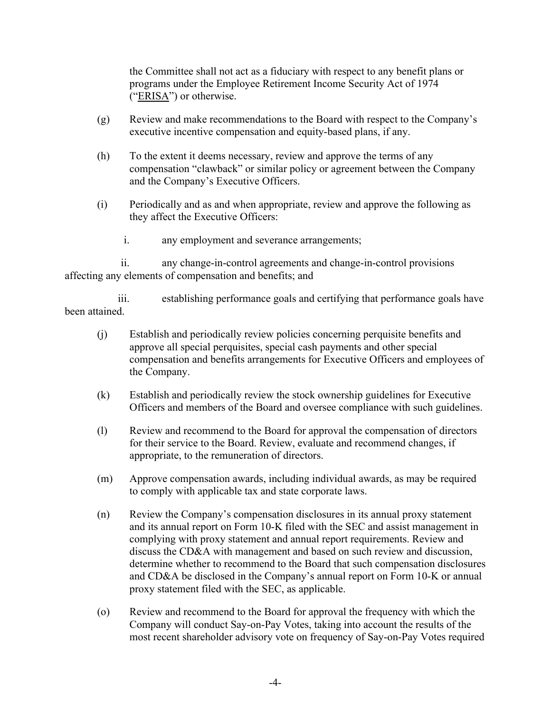the Committee shall not act as a fiduciary with respect to any benefit plans or programs under the Employee Retirement Income Security Act of 1974 ("ERISA") or otherwise.

- (g) Review and make recommendations to the Board with respect to the Company's executive incentive compensation and equity-based plans, if any.
- (h) To the extent it deems necessary, review and approve the terms of any compensation "clawback" or similar policy or agreement between the Company and the Company's Executive Officers.
- (i) Periodically and as and when appropriate, review and approve the following as they affect the Executive Officers:
	- i. any employment and severance arrangements;

ii. any change-in-control agreements and change-in-control provisions affecting any elements of compensation and benefits; and

iii. establishing performance goals and certifying that performance goals have been attained.

- (j) Establish and periodically review policies concerning perquisite benefits and approve all special perquisites, special cash payments and other special compensation and benefits arrangements for Executive Officers and employees of the Company.
- (k) Establish and periodically review the stock ownership guidelines for Executive Officers and members of the Board and oversee compliance with such guidelines.
- (l) Review and recommend to the Board for approval the compensation of directors for their service to the Board. Review, evaluate and recommend changes, if appropriate, to the remuneration of directors.
- (m) Approve compensation awards, including individual awards, as may be required to comply with applicable tax and state corporate laws.
- (n) Review the Company's compensation disclosures in its annual proxy statement and its annual report on Form 10-K filed with the SEC and assist management in complying with proxy statement and annual report requirements. Review and discuss the CD&A with management and based on such review and discussion, determine whether to recommend to the Board that such compensation disclosures and CD&A be disclosed in the Company's annual report on Form 10-K or annual proxy statement filed with the SEC, as applicable.
- (o) Review and recommend to the Board for approval the frequency with which the Company will conduct Say-on-Pay Votes, taking into account the results of the most recent shareholder advisory vote on frequency of Say-on-Pay Votes required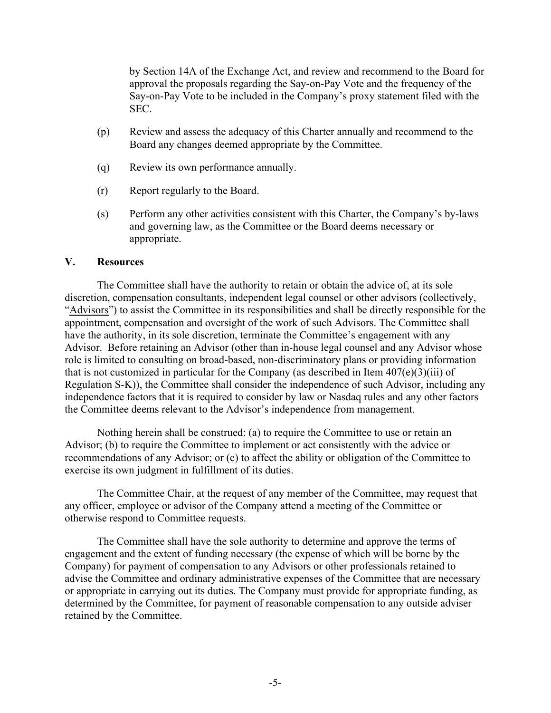by Section 14A of the Exchange Act, and review and recommend to the Board for approval the proposals regarding the Say-on-Pay Vote and the frequency of the Say-on-Pay Vote to be included in the Company's proxy statement filed with the SEC.

- (p) Review and assess the adequacy of this Charter annually and recommend to the Board any changes deemed appropriate by the Committee.
- (q) Review its own performance annually.
- (r) Report regularly to the Board.
- (s) Perform any other activities consistent with this Charter, the Company's by-laws and governing law, as the Committee or the Board deems necessary or appropriate.

#### **V. Resources**

The Committee shall have the authority to retain or obtain the advice of, at its sole discretion, compensation consultants, independent legal counsel or other advisors (collectively, "Advisors") to assist the Committee in its responsibilities and shall be directly responsible for the appointment, compensation and oversight of the work of such Advisors. The Committee shall have the authority, in its sole discretion, terminate the Committee's engagement with any Advisor. Before retaining an Advisor (other than in-house legal counsel and any Advisor whose role is limited to consulting on broad-based, non-discriminatory plans or providing information that is not customized in particular for the Company (as described in Item  $407(e)(3)(iii)$  of Regulation S-K)), the Committee shall consider the independence of such Advisor, including any independence factors that it is required to consider by law or Nasdaq rules and any other factors the Committee deems relevant to the Advisor's independence from management.

Nothing herein shall be construed: (a) to require the Committee to use or retain an Advisor; (b) to require the Committee to implement or act consistently with the advice or recommendations of any Advisor; or (c) to affect the ability or obligation of the Committee to exercise its own judgment in fulfillment of its duties.

The Committee Chair, at the request of any member of the Committee, may request that any officer, employee or advisor of the Company attend a meeting of the Committee or otherwise respond to Committee requests.

The Committee shall have the sole authority to determine and approve the terms of engagement and the extent of funding necessary (the expense of which will be borne by the Company) for payment of compensation to any Advisors or other professionals retained to advise the Committee and ordinary administrative expenses of the Committee that are necessary or appropriate in carrying out its duties. The Company must provide for appropriate funding, as determined by the Committee, for payment of reasonable compensation to any outside adviser retained by the Committee.